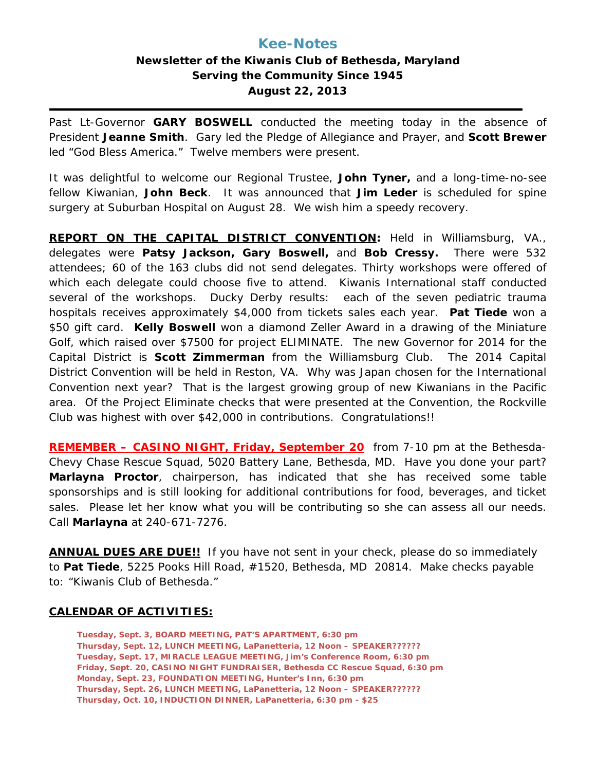# **Kee-Notes**

# **Newsletter of the Kiwanis Club of Bethesda, Maryland Serving the Community Since 1945 August 22, 2013**

Past Lt-Governor **GARY BOSWELL** conducted the meeting today in the absence of President **Jeanne Smith**. Gary led the Pledge of Allegiance and Prayer, and **Scott Brewer** led "God Bless America." Twelve members were present.

It was delightful to welcome our Regional Trustee, **John Tyner,** and a long-time-no-see fellow Kiwanian, **John Beck**. It was announced that **Jim Leder** is scheduled for spine surgery at Suburban Hospital on August 28. We wish him a speedy recovery.

**REPORT ON THE CAPITAL DISTRICT CONVENTION:** Held in Williamsburg, VA., delegates were **Patsy Jackson, Gary Boswell,** and **Bob Cressy.** There were 532 attendees; 60 of the 163 clubs did not send delegates. Thirty workshops were offered of which each delegate could choose five to attend. Kiwanis International staff conducted several of the workshops. Ducky Derby results: each of the seven pediatric trauma hospitals receives approximately \$4,000 from tickets sales each year. **Pat Tiede** won a \$50 gift card. **Kelly Boswell** won a diamond Zeller Award in a drawing of the Miniature Golf, which raised over \$7500 for project ELIMINATE. The new Governor for 2014 for the Capital District is **Scott Zimmerman** from the Williamsburg Club. The 2014 Capital District Convention will be held in Reston, VA. Why was Japan chosen for the International Convention next year? That is the largest growing group of new Kiwanians in the Pacific area. Of the Project Eliminate checks that were presented at the Convention, the Rockville Club was highest with over \$42,000 in contributions. Congratulations!!

**REMEMBER – CASINO NIGHT, Friday, September 20** from 7-10 pm at the Bethesda-Chevy Chase Rescue Squad, 5020 Battery Lane, Bethesda, MD. Have you done your part? **Marlayna Proctor**, chairperson, has indicated that she has received some table sponsorships and is still looking for additional contributions for food, beverages, and ticket sales. Please let her know what you will be contributing so she can assess all our needs. Call **Marlayna** at 240-671-7276.

**ANNUAL DUES ARE DUE!!** If you have not sent in your check, please do so immediately to **Pat Tiede**, 5225 Pooks Hill Road, #1520, Bethesda, MD 20814. Make checks payable to: "Kiwanis Club of Bethesda."

## **CALENDAR OF ACTIVITIES:**

**Tuesday, Sept. 3, BOARD MEETING, PAT'S APARTMENT, 6:30 pm Thursday, Sept. 12, LUNCH MEETING, LaPanetteria, 12 Noon – SPEAKER?????? Tuesday, Sept. 17, MIRACLE LEAGUE MEETING, Jim's Conference Room, 6:30 pm Friday, Sept. 20, CASINO NIGHT FUNDRAISER, Bethesda CC Rescue Squad, 6:30 pm Monday, Sept. 23, FOUNDATION MEETING, Hunter's Inn, 6:30 pm Thursday, Sept. 26, LUNCH MEETING, LaPanetteria, 12 Noon – SPEAKER?????? Thursday, Oct. 10, INDUCTION DINNER, LaPanetteria, 6:30 pm - \$25**